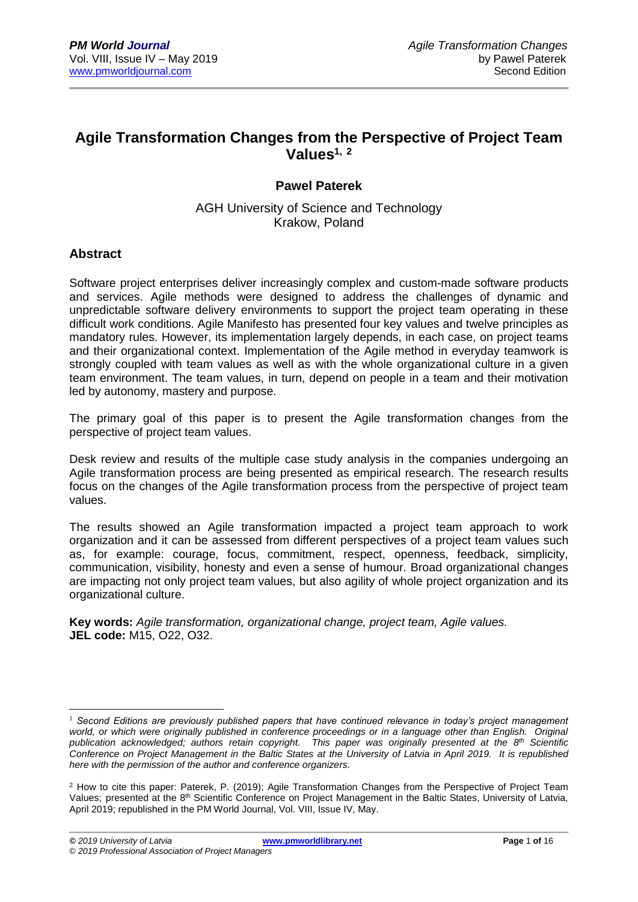# **Agile Transformation Changes from the Perspective of Project Team Values1, <sup>2</sup>**

# **Pawel Paterek**

AGH University of Science and Technology Krakow, Poland

### **Abstract**

Software project enterprises deliver increasingly complex and custom-made software products and services. Agile methods were designed to address the challenges of dynamic and unpredictable software delivery environments to support the project team operating in these difficult work conditions. Agile Manifesto has presented four key values and twelve principles as mandatory rules. However, its implementation largely depends, in each case, on project teams and their organizational context. Implementation of the Agile method in everyday teamwork is strongly coupled with team values as well as with the whole organizational culture in a given team environment. The team values, in turn, depend on people in a team and their motivation led by autonomy, mastery and purpose.

The primary goal of this paper is to present the Agile transformation changes from the perspective of project team values.

Desk review and results of the multiple case study analysis in the companies undergoing an Agile transformation process are being presented as empirical research. The research results focus on the changes of the Agile transformation process from the perspective of project team values.

The results showed an Agile transformation impacted a project team approach to work organization and it can be assessed from different perspectives of a project team values such as, for example: courage, focus, commitment, respect, openness, feedback, simplicity, communication, visibility, honesty and even a sense of humour. Broad organizational changes are impacting not only project team values, but also agility of whole project organization and its organizational culture.

**Key words:** *Agile transformation, organizational change, project team, Agile values.* **JEL code:** M15, O22, O32.

<sup>1</sup> <sup>1</sup> *Second Editions are previously published papers that have continued relevance in today's project management*  world, or which were originally published in conference proceedings or in a language other than English. Original *publication acknowledged; authors retain copyright. This paper was originally presented at the 8 th Scientific Conference on Project Management in the Baltic States at the University of Latvia in April 2019. It is republished here with the permission of the author and conference organizers.*

<sup>2</sup> How to cite this paper: Paterek, P. (2019); Agile Transformation Changes from the Perspective of Project Team Values; presented at the 8<sup>th</sup> Scientific Conference on Project Management in the Baltic States, University of Latvia, April 2019; republished in the PM World Journal, Vol. VIII, Issue IV, May.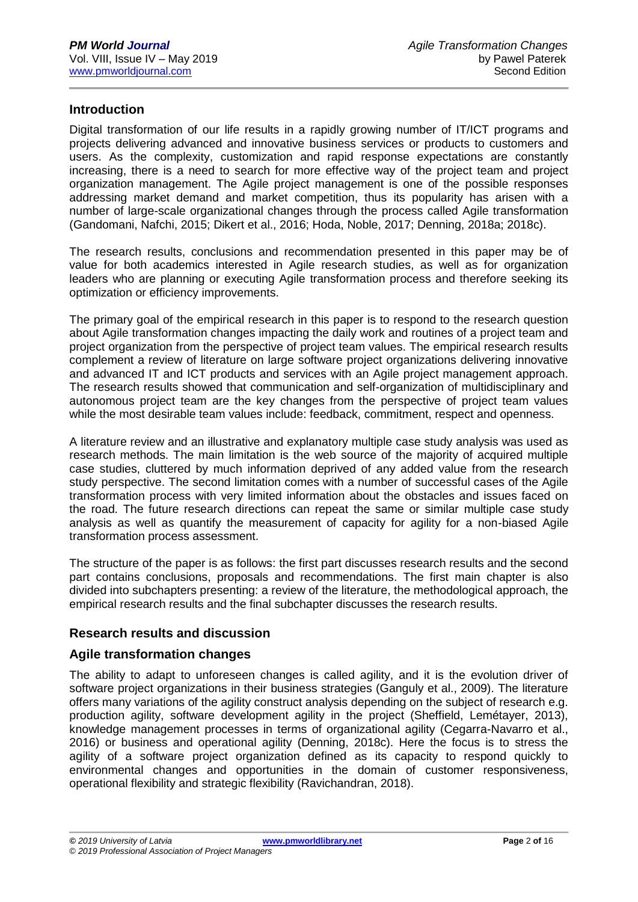## **Introduction**

Digital transformation of our life results in a rapidly growing number of IT/ICT programs and projects delivering advanced and innovative business services or products to customers and users. As the complexity, customization and rapid response expectations are constantly increasing, there is a need to search for more effective way of the project team and project organization management. The Agile project management is one of the possible responses addressing market demand and market competition, thus its popularity has arisen with a number of large-scale organizational changes through the process called Agile transformation (Gandomani, Nafchi, 2015; Dikert et al., 2016; Hoda, Noble, 2017; Denning, 2018a; 2018c).

The research results, conclusions and recommendation presented in this paper may be of value for both academics interested in Agile research studies, as well as for organization leaders who are planning or executing Agile transformation process and therefore seeking its optimization or efficiency improvements.

The primary goal of the empirical research in this paper is to respond to the research question about Agile transformation changes impacting the daily work and routines of a project team and project organization from the perspective of project team values. The empirical research results complement a review of literature on large software project organizations delivering innovative and advanced IT and ICT products and services with an Agile project management approach. The research results showed that communication and self-organization of multidisciplinary and autonomous project team are the key changes from the perspective of project team values while the most desirable team values include: feedback, commitment, respect and openness.

A literature review and an illustrative and explanatory multiple case study analysis was used as research methods. The main limitation is the web source of the majority of acquired multiple case studies, cluttered by much information deprived of any added value from the research study perspective. The second limitation comes with a number of successful cases of the Agile transformation process with very limited information about the obstacles and issues faced on the road. The future research directions can repeat the same or similar multiple case study analysis as well as quantify the measurement of capacity for agility for a non-biased Agile transformation process assessment.

The structure of the paper is as follows: the first part discusses research results and the second part contains conclusions, proposals and recommendations. The first main chapter is also divided into subchapters presenting: a review of the literature, the methodological approach, the empirical research results and the final subchapter discusses the research results.

## **Research results and discussion**

#### **Agile transformation changes**

The ability to adapt to unforeseen changes is called agility, and it is the evolution driver of software project organizations in their business strategies (Ganguly et al., 2009). The literature offers many variations of the agility construct analysis depending on the subject of research e.g. production agility, software development agility in the project (Sheffield, Lemétayer, 2013), knowledge management processes in terms of organizational agility (Cegarra-Navarro et al., 2016) or business and operational agility (Denning, 2018c). Here the focus is to stress the agility of a software project organization defined as its capacity to respond quickly to environmental changes and opportunities in the domain of customer responsiveness, operational flexibility and strategic flexibility (Ravichandran, 2018).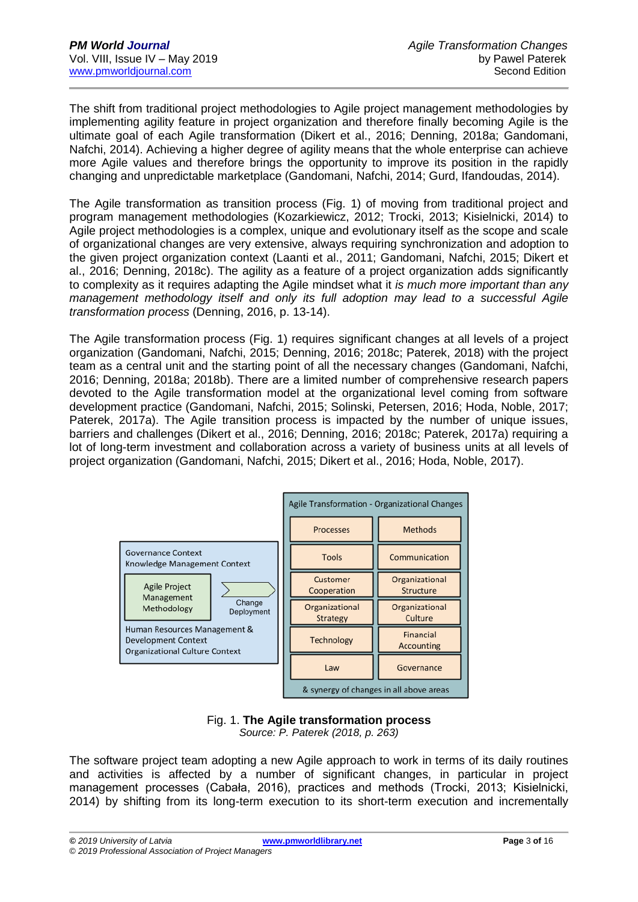The shift from traditional project methodologies to Agile project management methodologies by implementing agility feature in project organization and therefore finally becoming Agile is the ultimate goal of each Agile transformation (Dikert et al., 2016; Denning, 2018a; Gandomani, Nafchi, 2014). Achieving a higher degree of agility means that the whole enterprise can achieve more Agile values and therefore brings the opportunity to improve its position in the rapidly changing and unpredictable marketplace (Gandomani, Nafchi, 2014; Gurd, Ifandoudas, 2014).

The Agile transformation as transition process (Fig. 1) of moving from traditional project and program management methodologies (Kozarkiewicz, 2012; Trocki, 2013; Kisielnicki, 2014) to Agile project methodologies is a complex, unique and evolutionary itself as the scope and scale of organizational changes are very extensive, always requiring synchronization and adoption to the given project organization context (Laanti et al., 2011; Gandomani, Nafchi, 2015; Dikert et al., 2016; Denning, 2018c). The agility as a feature of a project organization adds significantly to complexity as it requires adapting the Agile mindset what it *is much more important than any management methodology itself and only its full adoption may lead to a successful Agile transformation process* (Denning, 2016, p. 13-14).

The Agile transformation process (Fig. 1) requires significant changes at all levels of a project organization (Gandomani, Nafchi, 2015; Denning, 2016; 2018c; Paterek, 2018) with the project team as a central unit and the starting point of all the necessary changes (Gandomani, Nafchi, 2016; Denning, 2018a; 2018b). There are a limited number of comprehensive research papers devoted to the Agile transformation model at the organizational level coming from software development practice (Gandomani, Nafchi, 2015; Solinski, Petersen, 2016; Hoda, Noble, 2017; Paterek, 2017a). The Agile transition process is impacted by the number of unique issues, barriers and challenges (Dikert et al., 2016; Denning, 2016; 2018c; Paterek, 2017a) requiring a lot of long-term investment and collaboration across a variety of business units at all levels of project organization (Gandomani, Nafchi, 2015; Dikert et al., 2016; Hoda, Noble, 2017).



Fig. 1. **The Agile transformation process** *Source: P. Paterek (2018, p. 263)*

The software project team adopting a new Agile approach to work in terms of its daily routines and activities is affected by a number of significant changes, in particular in project management processes (Cabała, 2016), practices and methods (Trocki, 2013; Kisielnicki, 2014) by shifting from its long-term execution to its short-term execution and incrementally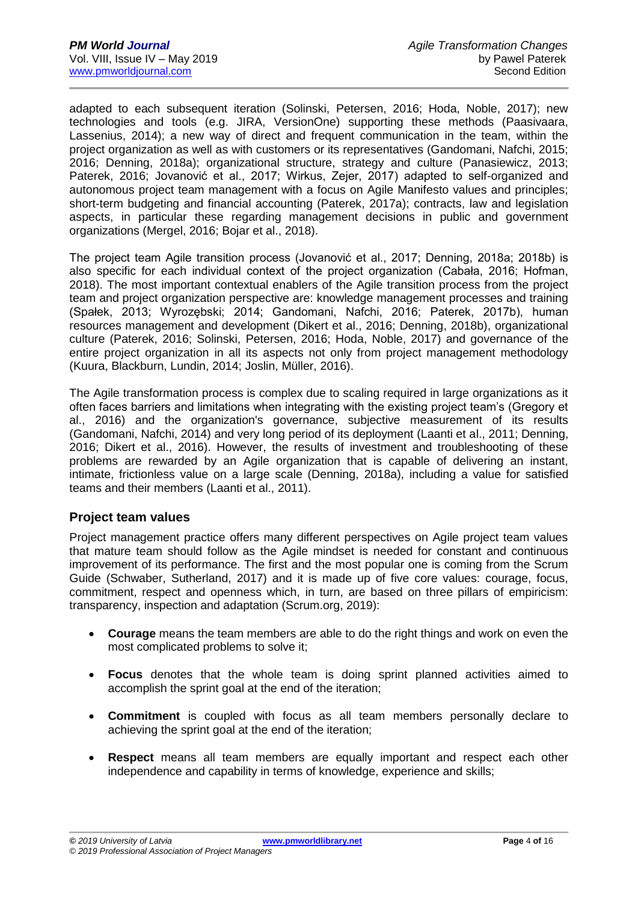adapted to each subsequent iteration (Solinski, Petersen, 2016; Hoda, Noble, 2017); new technologies and tools (e.g. JIRA, VersionOne) supporting these methods (Paasivaara, Lassenius, 2014); a new way of direct and frequent communication in the team, within the project organization as well as with customers or its representatives (Gandomani, Nafchi, 2015; 2016; Denning, 2018a); organizational structure, strategy and culture (Panasiewicz, 2013; Paterek, 2016; Jovanović et al., 2017; Wirkus, Zejer, 2017) adapted to self-organized and autonomous project team management with a focus on Agile Manifesto values and principles; short-term budgeting and financial accounting (Paterek, 2017a); contracts, law and legislation aspects, in particular these regarding management decisions in public and government organizations (Mergel, 2016; Bojar et al., 2018).

The project team Agile transition process (Jovanović et al., 2017; Denning, 2018a; 2018b) is also specific for each individual context of the project organization (Cabała, 2016; Hofman, 2018). The most important contextual enablers of the Agile transition process from the project team and project organization perspective are: knowledge management processes and training (Spałek, 2013; Wyrozębski; 2014; Gandomani, Nafchi, 2016; Paterek, 2017b), human resources management and development (Dikert et al., 2016; Denning, 2018b), organizational culture (Paterek, 2016; Solinski, Petersen, 2016; Hoda, Noble, 2017) and governance of the entire project organization in all its aspects not only from project management methodology (Kuura, Blackburn, Lundin, 2014; Joslin, Müller, 2016).

The Agile transformation process is complex due to scaling required in large organizations as it often faces barriers and limitations when integrating with the existing project team's (Gregory et al., 2016) and the organization's governance, subjective measurement of its results (Gandomani, Nafchi, 2014) and very long period of its deployment (Laanti et al., 2011; Denning, 2016; Dikert et al., 2016). However, the results of investment and troubleshooting of these problems are rewarded by an Agile organization that is capable of delivering an instant, intimate, frictionless value on a large scale (Denning, 2018a), including a value for satisfied teams and their members (Laanti et al., 2011).

#### **Project team values**

Project management practice offers many different perspectives on Agile project team values that mature team should follow as the Agile mindset is needed for constant and continuous improvement of its performance. The first and the most popular one is coming from the Scrum Guide (Schwaber, Sutherland, 2017) and it is made up of five core values: courage, focus, commitment, respect and openness which, in turn, are based on three pillars of empiricism: transparency, inspection and adaptation (Scrum.org, 2019):

- **Courage** means the team members are able to do the right things and work on even the most complicated problems to solve it;
- **Focus** denotes that the whole team is doing sprint planned activities aimed to accomplish the sprint goal at the end of the iteration;
- **Commitment** is coupled with focus as all team members personally declare to achieving the sprint goal at the end of the iteration;
- **Respect** means all team members are equally important and respect each other independence and capability in terms of knowledge, experience and skills;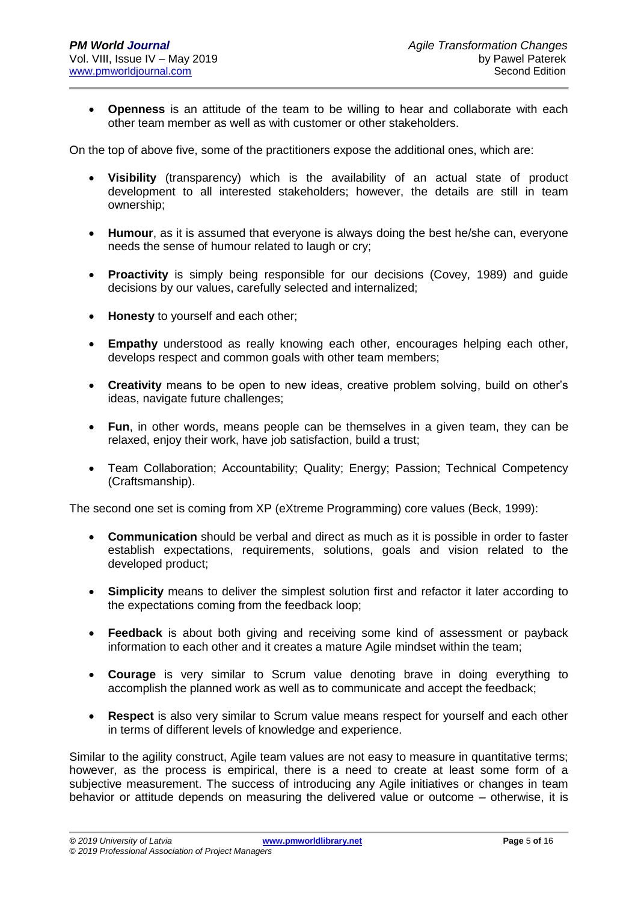• **Openness** is an attitude of the team to be willing to hear and collaborate with each other team member as well as with customer or other stakeholders.

On the top of above five, some of the practitioners expose the additional ones, which are:

- **Visibility** (transparency) which is the availability of an actual state of product development to all interested stakeholders; however, the details are still in team ownership;
- **Humour**, as it is assumed that everyone is always doing the best he/she can, everyone needs the sense of humour related to laugh or cry;
- **Proactivity** is simply being responsible for our decisions (Covey, 1989) and guide decisions by our values, carefully selected and internalized;
- **Honesty** to yourself and each other;
- **Empathy** understood as really knowing each other, encourages helping each other, develops respect and common goals with other team members;
- **Creativity** means to be open to new ideas, creative problem solving, build on other's ideas, navigate future challenges;
- **Fun**, in other words, means people can be themselves in a given team, they can be relaxed, enjoy their work, have job satisfaction, build a trust;
- Team Collaboration; Accountability; Quality; Energy; Passion; Technical Competency (Craftsmanship).

The second one set is coming from XP (eXtreme Programming) core values (Beck, 1999):

- **Communication** should be verbal and direct as much as it is possible in order to faster establish expectations, requirements, solutions, goals and vision related to the developed product;
- **Simplicity** means to deliver the simplest solution first and refactor it later according to the expectations coming from the feedback loop;
- **Feedback** is about both giving and receiving some kind of assessment or payback information to each other and it creates a mature Agile mindset within the team;
- **Courage** is very similar to Scrum value denoting brave in doing everything to accomplish the planned work as well as to communicate and accept the feedback;
- **Respect** is also very similar to Scrum value means respect for yourself and each other in terms of different levels of knowledge and experience.

Similar to the agility construct, Agile team values are not easy to measure in quantitative terms; however, as the process is empirical, there is a need to create at least some form of a subjective measurement. The success of introducing any Agile initiatives or changes in team behavior or attitude depends on measuring the delivered value or outcome – otherwise, it is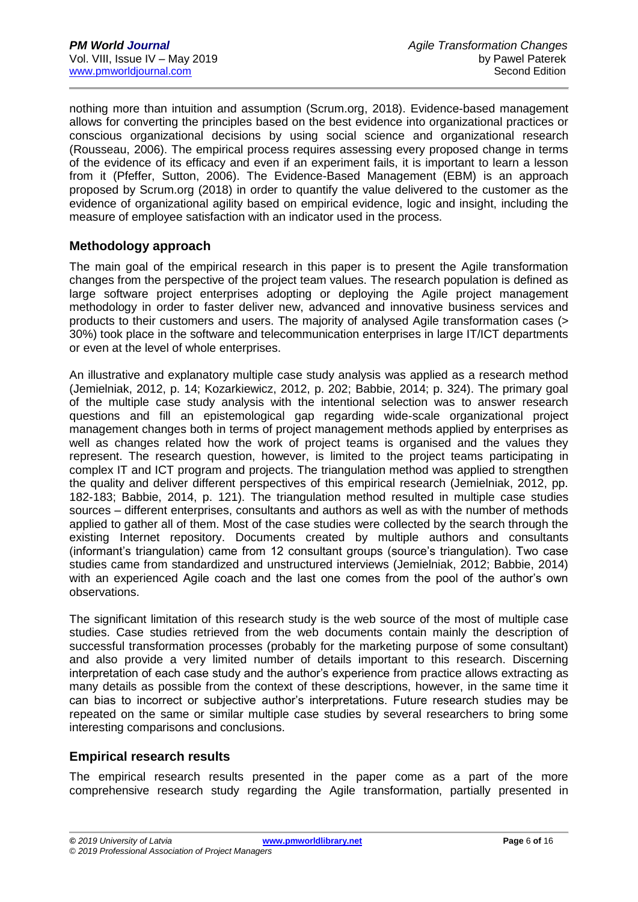nothing more than intuition and assumption (Scrum.org, 2018). Evidence-based management allows for converting the principles based on the best evidence into organizational practices or conscious organizational decisions by using social science and organizational research (Rousseau, 2006). The empirical process requires assessing every proposed change in terms of the evidence of its efficacy and even if an experiment fails, it is important to learn a lesson from it (Pfeffer, Sutton, 2006). The Evidence-Based Management (EBM) is an approach proposed by Scrum.org (2018) in order to quantify the value delivered to the customer as the evidence of organizational agility based on empirical evidence, logic and insight, including the measure of employee satisfaction with an indicator used in the process.

### **Methodology approach**

The main goal of the empirical research in this paper is to present the Agile transformation changes from the perspective of the project team values. The research population is defined as large software project enterprises adopting or deploying the Agile project management methodology in order to faster deliver new, advanced and innovative business services and products to their customers and users. The majority of analysed Agile transformation cases (> 30%) took place in the software and telecommunication enterprises in large IT/ICT departments or even at the level of whole enterprises.

An illustrative and explanatory multiple case study analysis was applied as a research method (Jemielniak, 2012, p. 14; Kozarkiewicz, 2012, p. 202; Babbie, 2014; p. 324). The primary goal of the multiple case study analysis with the intentional selection was to answer research questions and fill an epistemological gap regarding wide-scale organizational project management changes both in terms of project management methods applied by enterprises as well as changes related how the work of project teams is organised and the values they represent. The research question, however, is limited to the project teams participating in complex IT and ICT program and projects. The triangulation method was applied to strengthen the quality and deliver different perspectives of this empirical research (Jemielniak, 2012, pp. 182-183; Babbie, 2014, p. 121). The triangulation method resulted in multiple case studies sources – different enterprises, consultants and authors as well as with the number of methods applied to gather all of them. Most of the case studies were collected by the search through the existing Internet repository. Documents created by multiple authors and consultants (informant's triangulation) came from 12 consultant groups (source's triangulation). Two case studies came from standardized and unstructured interviews (Jemielniak, 2012; Babbie, 2014) with an experienced Agile coach and the last one comes from the pool of the author's own observations.

The significant limitation of this research study is the web source of the most of multiple case studies. Case studies retrieved from the web documents contain mainly the description of successful transformation processes (probably for the marketing purpose of some consultant) and also provide a very limited number of details important to this research. Discerning interpretation of each case study and the author's experience from practice allows extracting as many details as possible from the context of these descriptions, however, in the same time it can bias to incorrect or subjective author's interpretations. Future research studies may be repeated on the same or similar multiple case studies by several researchers to bring some interesting comparisons and conclusions.

## **Empirical research results**

The empirical research results presented in the paper come as a part of the more comprehensive research study regarding the Agile transformation, partially presented in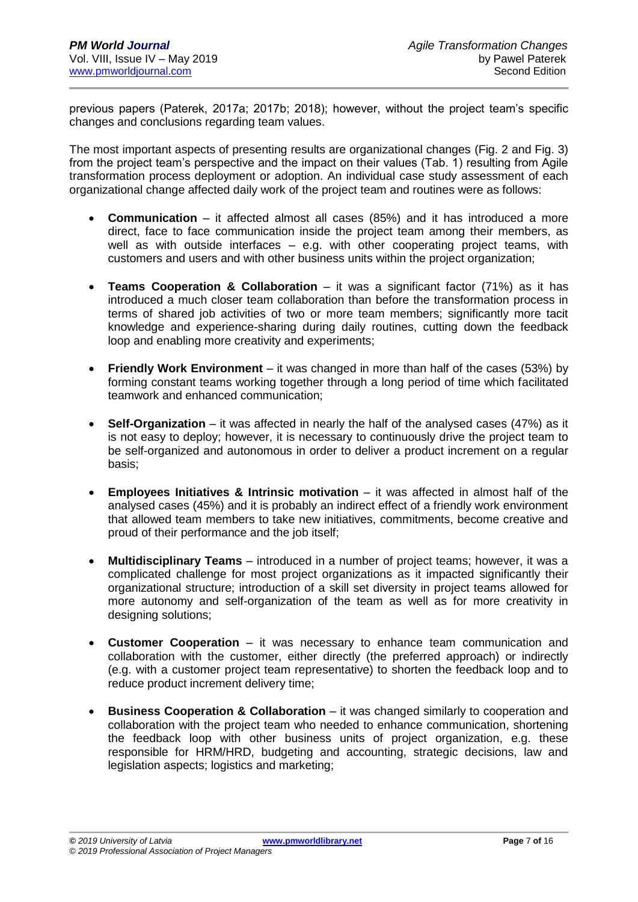previous papers (Paterek, 2017a; 2017b; 2018); however, without the project team's specific changes and conclusions regarding team values.

The most important aspects of presenting results are organizational changes (Fig. 2 and Fig. 3) from the project team's perspective and the impact on their values (Tab. 1) resulting from Agile transformation process deployment or adoption. An individual case study assessment of each organizational change affected daily work of the project team and routines were as follows:

- **Communication** it affected almost all cases (85%) and it has introduced a more direct, face to face communication inside the project team among their members, as well as with outside interfaces – e.g. with other cooperating project teams, with customers and users and with other business units within the project organization;
- **Teams Cooperation & Collaboration** it was a significant factor (71%) as it has introduced a much closer team collaboration than before the transformation process in terms of shared job activities of two or more team members; significantly more tacit knowledge and experience-sharing during daily routines, cutting down the feedback loop and enabling more creativity and experiments;
- **Friendly Work Environment** it was changed in more than half of the cases (53%) by forming constant teams working together through a long period of time which facilitated teamwork and enhanced communication;
- **Self-Organization** it was affected in nearly the half of the analysed cases (47%) as it is not easy to deploy; however, it is necessary to continuously drive the project team to be self-organized and autonomous in order to deliver a product increment on a regular basis;
- **Employees Initiatives & Intrinsic motivation** it was affected in almost half of the analysed cases (45%) and it is probably an indirect effect of a friendly work environment that allowed team members to take new initiatives, commitments, become creative and proud of their performance and the job itself;
- **Multidisciplinary Teams** introduced in a number of project teams; however, it was a complicated challenge for most project organizations as it impacted significantly their organizational structure; introduction of a skill set diversity in project teams allowed for more autonomy and self-organization of the team as well as for more creativity in designing solutions;
- **Customer Cooperation** it was necessary to enhance team communication and collaboration with the customer, either directly (the preferred approach) or indirectly (e.g. with a customer project team representative) to shorten the feedback loop and to reduce product increment delivery time;
- **Business Cooperation & Collaboration** it was changed similarly to cooperation and collaboration with the project team who needed to enhance communication, shortening the feedback loop with other business units of project organization, e.g. these responsible for HRM/HRD, budgeting and accounting, strategic decisions, law and legislation aspects; logistics and marketing;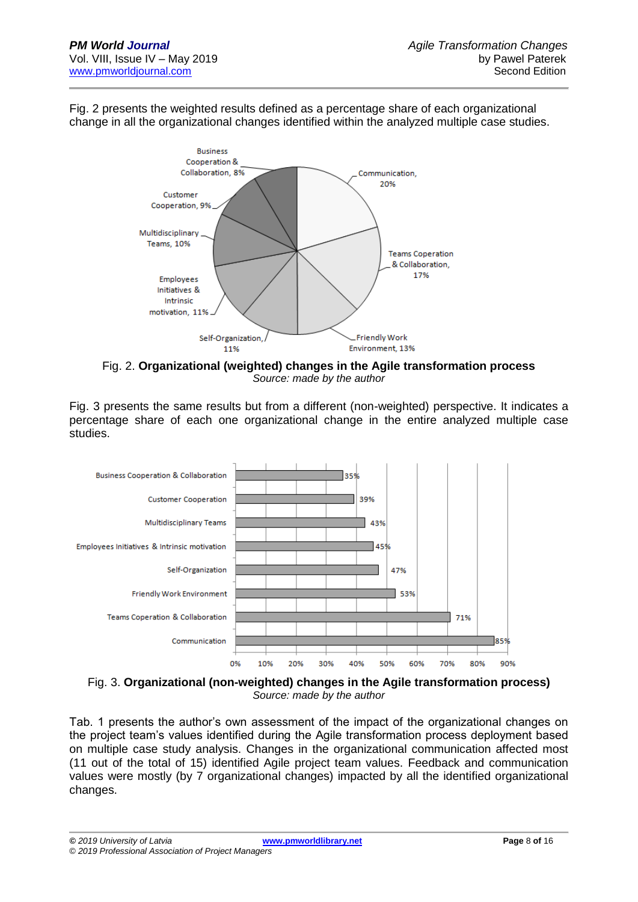Fig. 2 presents the weighted results defined as a percentage share of each organizational change in all the organizational changes identified within the analyzed multiple case studies.



Fig. 2. **Organizational (weighted) changes in the Agile transformation process**  *Source: made by the author*

Fig. 3 presents the same results but from a different (non-weighted) perspective. It indicates a percentage share of each one organizational change in the entire analyzed multiple case studies.



Fig. 3. **Organizational (non-weighted) changes in the Agile transformation process)** *Source: made by the author*

Tab. 1 presents the author's own assessment of the impact of the organizational changes on the project team's values identified during the Agile transformation process deployment based on multiple case study analysis. Changes in the organizational communication affected most (11 out of the total of 15) identified Agile project team values. Feedback and communication values were mostly (by 7 organizational changes) impacted by all the identified organizational changes.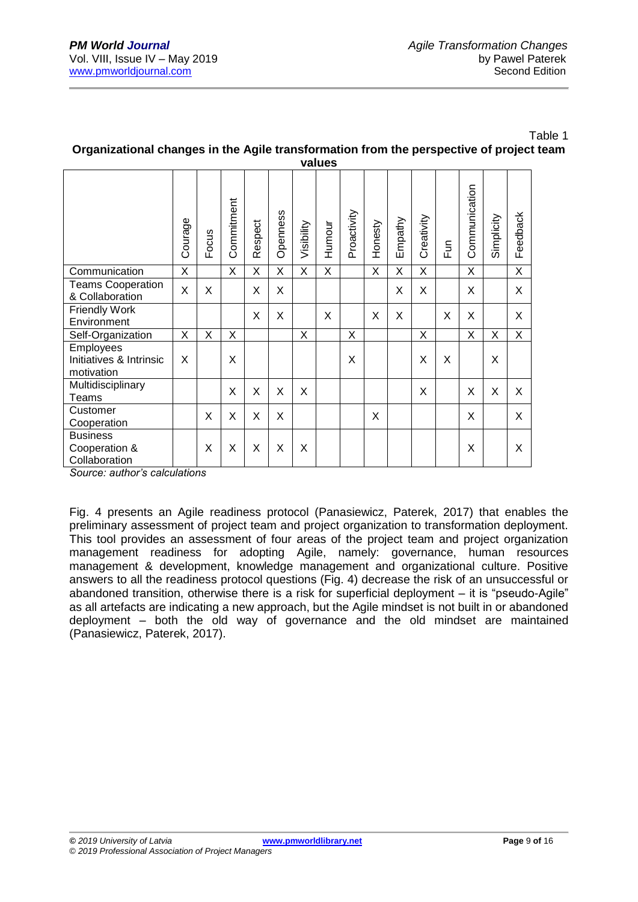|                                                    |         |       |            |         |          |            | values |             |         |         |            |                |               |            |          |
|----------------------------------------------------|---------|-------|------------|---------|----------|------------|--------|-------------|---------|---------|------------|----------------|---------------|------------|----------|
|                                                    | Courage | Focus | Commitment | Respect | Openness | Visibility | Humour | Proactivity | Honesty | Empathy | Creativity | $\mathsf{Fun}$ | Communication | Simplicity | Feedback |
| Communication                                      | X       |       | X          | X       | X        | X          | X      |             | X       | X       | X          |                | X             |            | X        |
| <b>Teams Cooperation</b><br>& Collaboration        | X       | X     |            | X       | X        |            |        |             |         | X       | X          |                | X             |            | X        |
| <b>Friendly Work</b><br>Environment                |         |       |            | X       | X        |            | X      |             | X       | X       |            | X              | X             |            | X        |
| Self-Organization                                  | X       | X     | X          |         |          | X          |        | X           |         |         | X          |                | X             | X          | X        |
| Employees<br>Initiatives & Intrinsic<br>motivation | X       |       | X          |         |          |            |        | X           |         |         | X          | X              |               | X          |          |
| Multidisciplinary<br>Teams                         |         |       | X          | X       | X        | X          |        |             |         |         | X          |                | X             | X          | X        |
| Customer<br>Cooperation                            |         | X     | X          | X       | X        |            |        |             | X       |         |            |                | X             |            | X        |
| <b>Business</b><br>Cooperation &<br>Collaboration  |         | X     | X          | X       | X        | X          |        |             |         |         |            |                | X             |            | X        |

#### Table 1 **Organizational changes in the Agile transformation from the perspective of project team values**

*Source: author's calculations*

Fig. 4 presents an Agile readiness protocol (Panasiewicz, Paterek, 2017) that enables the preliminary assessment of project team and project organization to transformation deployment. This tool provides an assessment of four areas of the project team and project organization management readiness for adopting Agile, namely: governance, human resources management & development, knowledge management and organizational culture. Positive answers to all the readiness protocol questions (Fig. 4) decrease the risk of an unsuccessful or abandoned transition, otherwise there is a risk for superficial deployment – it is "pseudo-Agile" as all artefacts are indicating a new approach, but the Agile mindset is not built in or abandoned deployment – both the old way of governance and the old mindset are maintained (Panasiewicz, Paterek, 2017).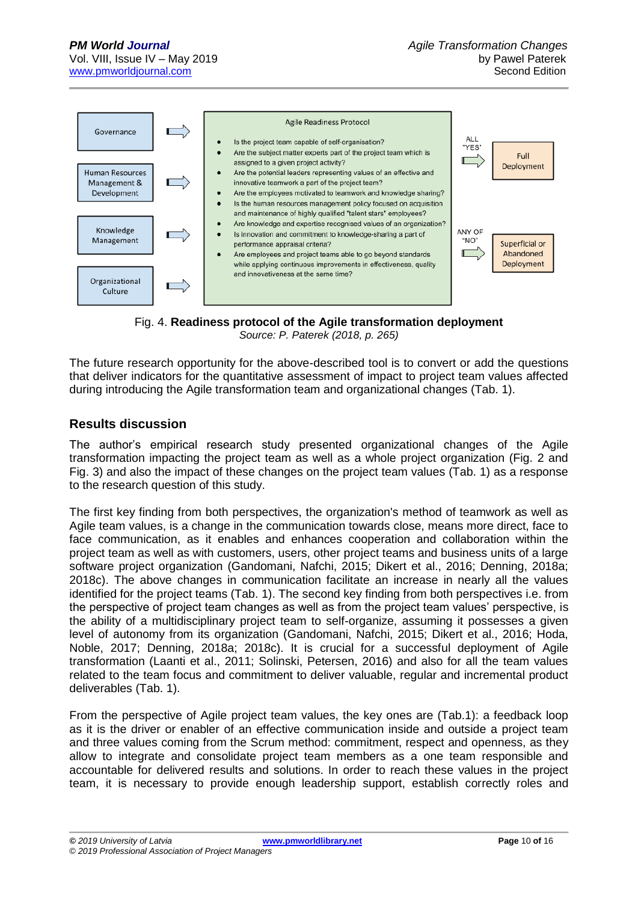

Fig. 4. **Readiness protocol of the Agile transformation deployment** *Source: P. Paterek (2018, p. 265)*

The future research opportunity for the above-described tool is to convert or add the questions that deliver indicators for the quantitative assessment of impact to project team values affected during introducing the Agile transformation team and organizational changes (Tab. 1).

# **Results discussion**

The author's empirical research study presented organizational changes of the Agile transformation impacting the project team as well as a whole project organization (Fig. 2 and Fig. 3) and also the impact of these changes on the project team values (Tab. 1) as a response to the research question of this study.

The first key finding from both perspectives, the organization's method of teamwork as well as Agile team values, is a change in the communication towards close, means more direct, face to face communication, as it enables and enhances cooperation and collaboration within the project team as well as with customers, users, other project teams and business units of a large software project organization (Gandomani, Nafchi, 2015; Dikert et al., 2016; Denning, 2018a; 2018c). The above changes in communication facilitate an increase in nearly all the values identified for the project teams (Tab. 1). The second key finding from both perspectives i.e. from the perspective of project team changes as well as from the project team values' perspective, is the ability of a multidisciplinary project team to self-organize, assuming it possesses a given level of autonomy from its organization (Gandomani, Nafchi, 2015; Dikert et al., 2016; Hoda, Noble, 2017; Denning, 2018a; 2018c). It is crucial for a successful deployment of Agile transformation (Laanti et al., 2011; Solinski, Petersen, 2016) and also for all the team values related to the team focus and commitment to deliver valuable, regular and incremental product deliverables (Tab. 1).

From the perspective of Agile project team values, the key ones are (Tab.1): a feedback loop as it is the driver or enabler of an effective communication inside and outside a project team and three values coming from the Scrum method: commitment, respect and openness, as they allow to integrate and consolidate project team members as a one team responsible and accountable for delivered results and solutions. In order to reach these values in the project team, it is necessary to provide enough leadership support, establish correctly roles and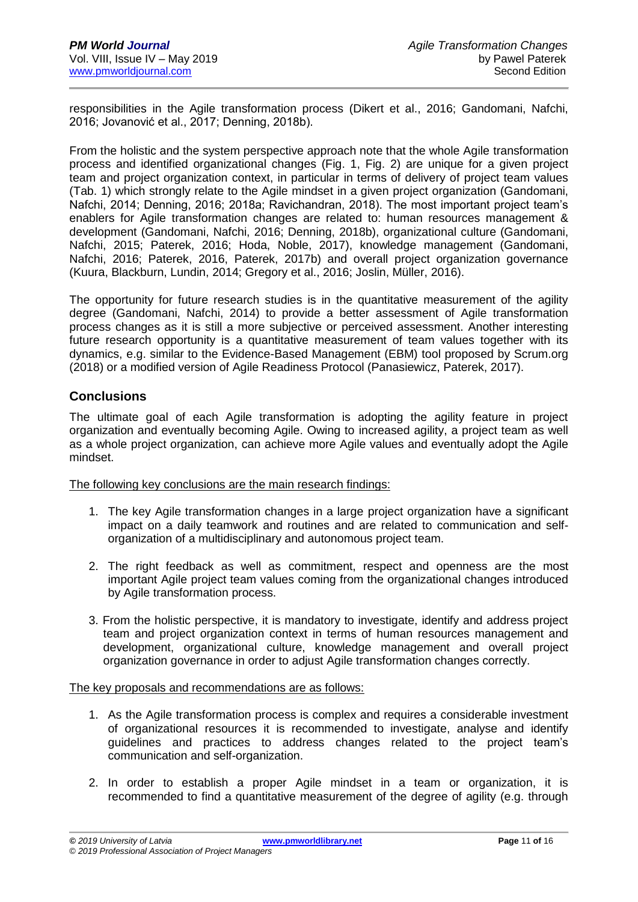responsibilities in the Agile transformation process (Dikert et al., 2016; Gandomani, Nafchi, 2016; Jovanović et al., 2017; Denning, 2018b).

From the holistic and the system perspective approach note that the whole Agile transformation process and identified organizational changes (Fig. 1, Fig. 2) are unique for a given project team and project organization context, in particular in terms of delivery of project team values (Tab. 1) which strongly relate to the Agile mindset in a given project organization (Gandomani, Nafchi, 2014; Denning, 2016; 2018a; Ravichandran, 2018). The most important project team's enablers for Agile transformation changes are related to: human resources management & development (Gandomani, Nafchi, 2016; Denning, 2018b), organizational culture (Gandomani, Nafchi, 2015; Paterek, 2016; Hoda, Noble, 2017), knowledge management (Gandomani, Nafchi, 2016; Paterek, 2016, Paterek, 2017b) and overall project organization governance (Kuura, Blackburn, Lundin, 2014; Gregory et al., 2016; Joslin, Müller, 2016).

The opportunity for future research studies is in the quantitative measurement of the agility degree (Gandomani, Nafchi, 2014) to provide a better assessment of Agile transformation process changes as it is still a more subjective or perceived assessment. Another interesting future research opportunity is a quantitative measurement of team values together with its dynamics, e.g. similar to the Evidence-Based Management (EBM) tool proposed by Scrum.org (2018) or a modified version of Agile Readiness Protocol (Panasiewicz, Paterek, 2017).

### **Conclusions**

The ultimate goal of each Agile transformation is adopting the agility feature in project organization and eventually becoming Agile. Owing to increased agility, a project team as well as a whole project organization, can achieve more Agile values and eventually adopt the Agile mindset.

The following key conclusions are the main research findings:

- 1. The key Agile transformation changes in a large project organization have a significant impact on a daily teamwork and routines and are related to communication and selforganization of a multidisciplinary and autonomous project team.
- 2. The right feedback as well as commitment, respect and openness are the most important Agile project team values coming from the organizational changes introduced by Agile transformation process.
- 3. From the holistic perspective, it is mandatory to investigate, identify and address project team and project organization context in terms of human resources management and development, organizational culture, knowledge management and overall project organization governance in order to adjust Agile transformation changes correctly.

The key proposals and recommendations are as follows:

- 1. As the Agile transformation process is complex and requires a considerable investment of organizational resources it is recommended to investigate, analyse and identify guidelines and practices to address changes related to the project team's communication and self-organization.
- 2. In order to establish a proper Agile mindset in a team or organization, it is recommended to find a quantitative measurement of the degree of agility (e.g. through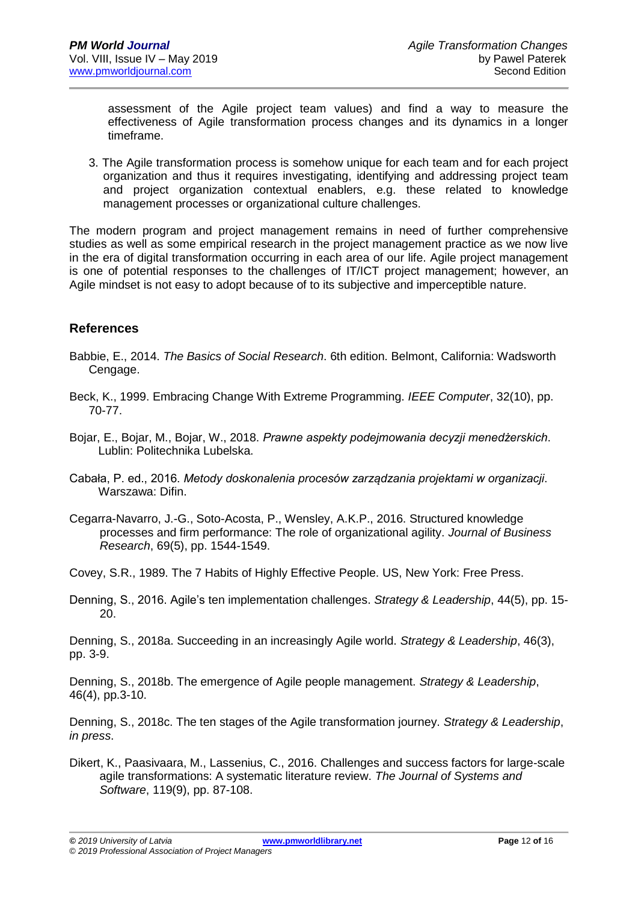assessment of the Agile project team values) and find a way to measure the effectiveness of Agile transformation process changes and its dynamics in a longer timeframe.

3. The Agile transformation process is somehow unique for each team and for each project organization and thus it requires investigating, identifying and addressing project team and project organization contextual enablers, e.g. these related to knowledge management processes or organizational culture challenges.

The modern program and project management remains in need of further comprehensive studies as well as some empirical research in the project management practice as we now live in the era of digital transformation occurring in each area of our life. Agile project management is one of potential responses to the challenges of IT/ICT project management; however, an Agile mindset is not easy to adopt because of to its subjective and imperceptible nature.

## **References**

- Babbie, E., 2014. *The Basics of Social Research*. 6th edition. Belmont, California: Wadsworth Cengage.
- Beck, K., 1999. Embracing Change With Extreme Programming. *IEEE Computer*, 32(10), pp. 70-77.
- Bojar, E., Bojar, M., Bojar, W., 2018. *Prawne aspekty podejmowania decyzji menedżerskich*. Lublin: Politechnika Lubelska.
- Cabała, P. ed., 2016. *Metody doskonalenia procesów zarządzania projektami w organizacji*. Warszawa: Difin.
- Cegarra-Navarro, J.-G., Soto-Acosta, P., Wensley, A.K.P., 2016. Structured knowledge processes and firm performance: The role of organizational agility. *Journal of Business Research*, 69(5), pp. 1544-1549.
- Covey, S.R., 1989. The 7 Habits of Highly Effective People. US, New York: Free Press.
- Denning, S., 2016. Agile's ten implementation challenges. *Strategy & Leadership*, 44(5), pp. 15- 20.

Denning, S., 2018a. Succeeding in an increasingly Agile world. *Strategy & Leadership*, 46(3), pp. 3-9.

Denning, S., 2018b. The emergence of Agile people management. *Strategy & Leadership*, 46(4), pp.3-10.

Denning, S., 2018c. The ten stages of the Agile transformation journey. *Strategy & Leadership*, *in press*.

Dikert, K., Paasivaara, M., Lassenius, C., 2016. Challenges and success factors for large-scale agile transformations: A systematic literature review. *The Journal of Systems and Software*, 119(9), pp. 87-108.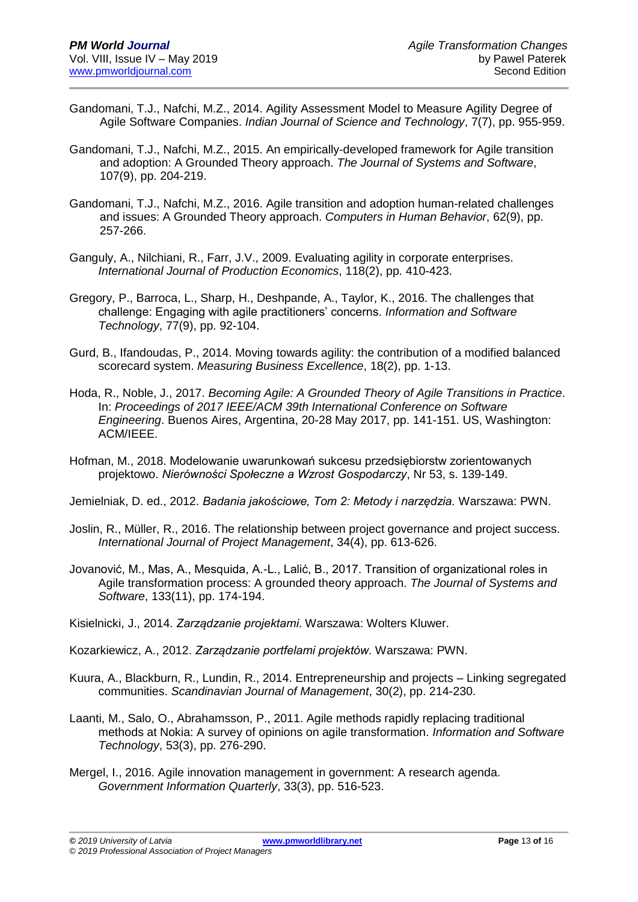- Gandomani, T.J., Nafchi, M.Z., 2014. Agility Assessment Model to Measure Agility Degree of Agile Software Companies. *Indian Journal of Science and Technology*, 7(7), pp. 955-959.
- Gandomani, T.J., Nafchi, M.Z., 2015. An empirically-developed framework for Agile transition and adoption: A Grounded Theory approach. *The Journal of Systems and Software*, 107(9), pp. 204-219.
- Gandomani, T.J., Nafchi, M.Z., 2016. Agile transition and adoption human-related challenges and issues: A Grounded Theory approach. *Computers in Human Behavior*, 62(9), pp. 257-266.
- Ganguly, A., Nilchiani, R., Farr, J.V., 2009. Evaluating agility in corporate enterprises. *International Journal of Production Economics*, 118(2), pp. 410-423.
- Gregory, P., Barroca, L., Sharp, H., Deshpande, A., Taylor, K., 2016. The challenges that challenge: Engaging with agile practitioners' concerns. *Information and Software Technology*, 77(9), pp. 92-104.
- Gurd, B., Ifandoudas, P., 2014. Moving towards agility: the contribution of a modified balanced scorecard system. *Measuring Business Excellence*, 18(2), pp. 1-13.
- Hoda, R., Noble, J., 2017. *Becoming Agile: A Grounded Theory of Agile Transitions in Practice*. In: *Proceedings of 2017 IEEE/ACM 39th International Conference on Software Engineering*. Buenos Aires, Argentina, 20-28 May 2017, pp. 141-151. US, Washington: ACM/IEEE.
- Hofman, M., 2018. Modelowanie uwarunkowań sukcesu przedsiębiorstw zorientowanych projektowo. *Nierówności Społeczne a Wzrost Gospodarczy*, Nr 53, s. 139-149.
- Jemielniak, D. ed., 2012. *Badania jakościowe, Tom 2: Metody i narzędzia.* Warszawa: PWN.
- Joslin, R., Müller, R., 2016. The relationship between project governance and project success. *International Journal of Project Management*, 34(4), pp. 613-626.
- Jovanović, M., Mas, A., Mesquida, A.-L., Lalić, B., 2017. Transition of organizational roles in Agile transformation process: A grounded theory approach. *The Journal of Systems and Software*, 133(11), pp. 174-194.
- Kisielnicki, J., 2014. *Zarządzanie projektami*. Warszawa: Wolters Kluwer.
- Kozarkiewicz, A., 2012. *Zarządzanie portfelami projektów.* Warszawa: PWN.
- Kuura, A., Blackburn, R., Lundin, R., 2014. Entrepreneurship and projects Linking segregated communities. *Scandinavian Journal of Management*, 30(2), pp. 214-230.
- Laanti, M., Salo, O., Abrahamsson, P., 2011. Agile methods rapidly replacing traditional methods at Nokia: A survey of opinions on agile transformation. *Information and Software Technology*, 53(3), pp. 276-290.
- Mergel, I., 2016. Agile innovation management in government: A research agenda. *Government Information Quarterly*, 33(3), pp. 516-523.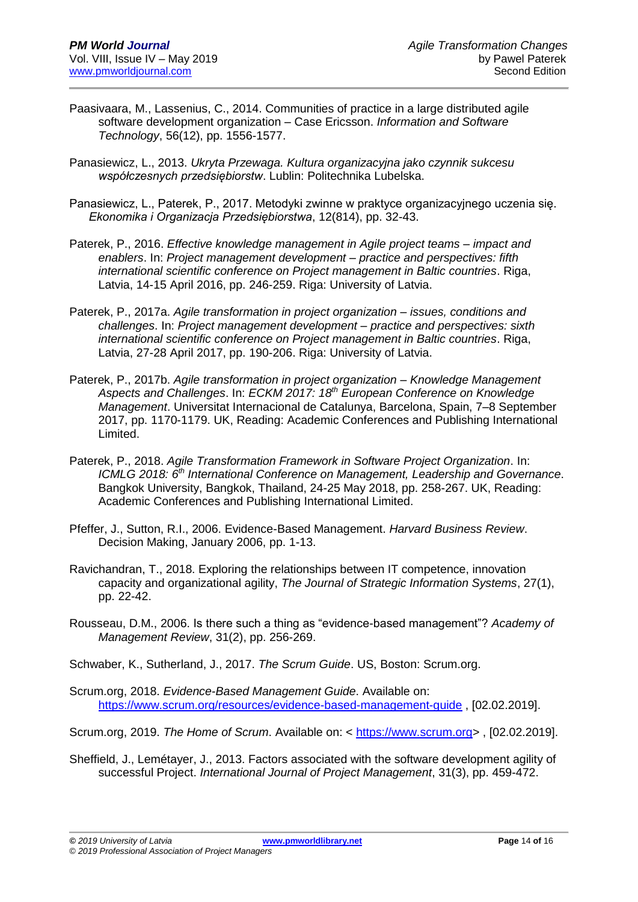- Paasivaara, M., Lassenius, C., 2014. Communities of practice in a large distributed agile software development organization – Case Ericsson. *Information and Software Technology*, 56(12), pp. 1556-1577.
- Panasiewicz, L., 2013. *Ukryta Przewaga. Kultura organizacyjna jako czynnik sukcesu współczesnych przedsiębiorstw*. Lublin: Politechnika Lubelska.
- Panasiewicz, L., Paterek, P., 2017. Metodyki zwinne w praktyce organizacyjnego uczenia się. *Ekonomika i Organizacja Przedsiębiorstwa*, 12(814), pp. 32-43.
- Paterek, P., 2016. *Effective knowledge management in Agile project teams – impact and enablers*. In: *Project management development – practice and perspectives: fifth international scientific conference on Project management in Baltic countries*. Riga, Latvia, 14-15 April 2016, pp. 246-259. Riga: University of Latvia.
- Paterek, P., 2017a. *Agile transformation in project organization – issues, conditions and challenges*. In: *Project management development – practice and perspectives: sixth international scientific conference on Project management in Baltic countries*. Riga, Latvia, 27-28 April 2017, pp. 190-206. Riga: University of Latvia.
- Paterek, P., 2017b. *Agile transformation in project organization – Knowledge Management Aspects and Challenges*. In: *ECKM 2017: 18th European Conference on Knowledge Management*. Universitat Internacional de Catalunya, Barcelona, Spain, 7–8 September 2017, pp. 1170-1179. UK, Reading: Academic Conferences and Publishing International Limited.
- Paterek, P., 2018. *Agile Transformation Framework in Software Project Organization*. In: *ICMLG 2018: 6 th International Conference on Management, Leadership and Governance*. Bangkok University, Bangkok, Thailand, 24-25 May 2018, pp. 258-267. UK, Reading: Academic Conferences and Publishing International Limited.
- Pfeffer, J., Sutton, R.I., 2006. Evidence-Based Management. *Harvard Business Review*. Decision Making, January 2006, pp. 1-13.
- Ravichandran, T., 2018. Exploring the relationships between IT competence, innovation capacity and organizational agility, *The Journal of Strategic Information Systems*, 27(1), pp. 22-42.
- Rousseau, D.M., 2006. Is there such a thing as "evidence-based management"? *Academy of Management Review*, 31(2), pp. 256-269.
- Schwaber, K., Sutherland, J., 2017. *The Scrum Guide*. US, Boston: Scrum.org.
- Scrum.org, 2018. *Evidence-Based Management Guide*. Available on: <https://www.scrum.org/resources/evidence-based-management-guide> , [02.02.2019].
- Scrum.org, 2019. *The Home of Scrum*. Available on: < [https://www.scrum.org>](https://www.scrum.org/) , [02.02.2019].
- Sheffield, J., Lemétayer, J., 2013. Factors associated with the software development agility of successful Project. *International Journal of Project Management*, 31(3), pp. 459-472.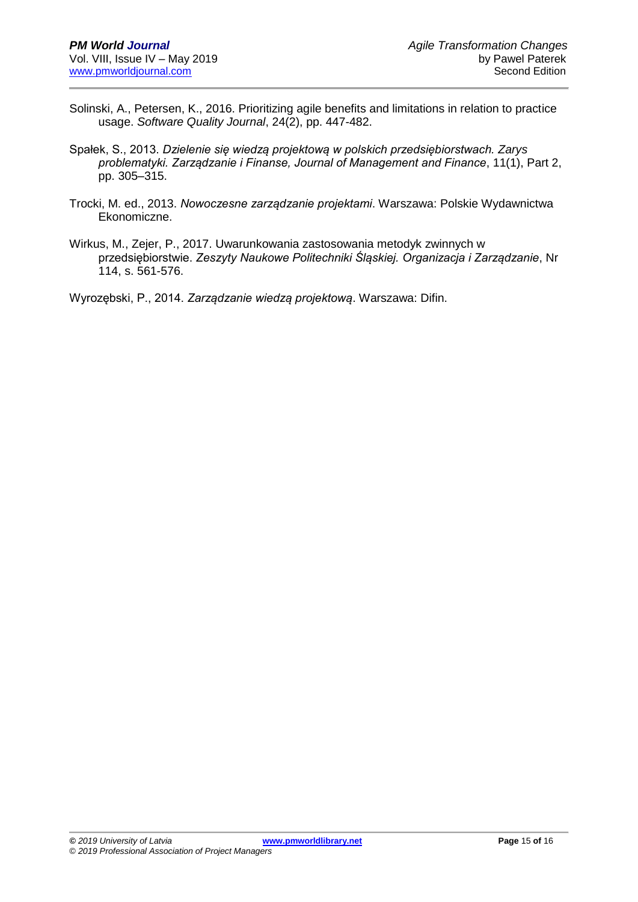- Solinski, A., Petersen, K., 2016. Prioritizing agile benefits and limitations in relation to practice usage. *Software Quality Journal*, 24(2), pp. 447-482.
- Spałek, S., 2013. *Dzielenie się wiedzą projektową w polskich przedsiębiorstwach. Zarys problematyki. Zarządzanie i Finanse, Journal of Management and Finance*, 11(1), Part 2, pp. 305–315.
- Trocki, M. ed., 2013. *Nowoczesne zarządzanie projektami*. Warszawa: Polskie Wydawnictwa Ekonomiczne.

Wirkus, M., Zejer, P., 2017. Uwarunkowania zastosowania metodyk zwinnych w przedsiębiorstwie. *Zeszyty Naukowe Politechniki Śląskiej. Organizacja i Zarządzanie*, Nr 114, s. 561-576.

Wyrozębski, P., 2014. *Zarządzanie wiedzą projektową*. Warszawa: Difin.